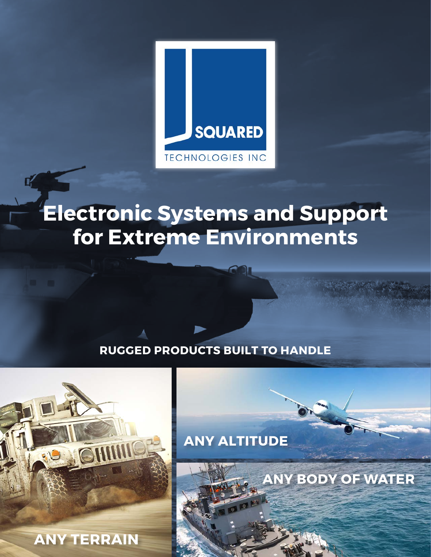

# **Electronic Systems and Support for Extreme Environments**

## **RUGGED PRODUCTS BUILT TO HANDLE**



**ANY ALTITUDE** 

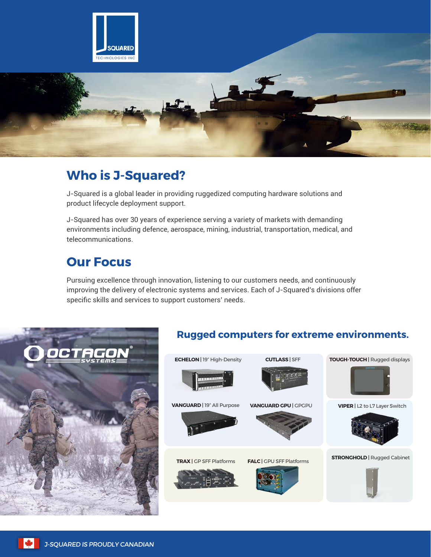

## **Who is J-Squared?**

J-Squared is a global leader in providing ruggedized computing hardware solutions and product lifecycle deployment support.

J-Squared has over 30 years of experience serving a variety of markets with demanding environments including defence, aerospace, mining, industrial, transportation, medical, and telecommunications.

## **Our Focus**

Pursuing excellence through innovation, listening to our customers needs, and continuously improving the delivery of electronic systems and services. Each of J-Squared's divisions offer specific skills and services to support customers' needs.



#### **Rugged computers for extreme environments.**

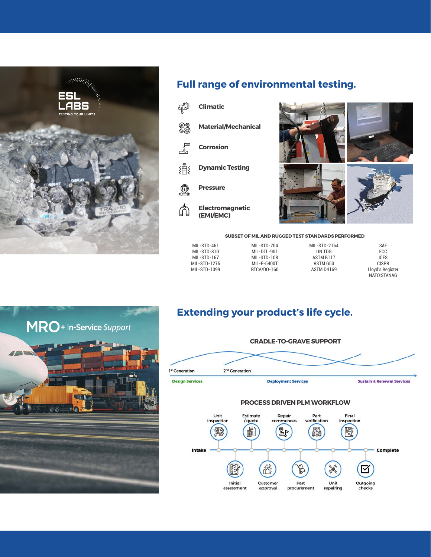

#### **Full range of environmental testing.**





**SUBSET OF MIL AND RUGGED TEST STANDARDS PERFORMED** 

| MIL-STD-461  | MIL-STD-704 | MIL-STD-2164 | <b>SAE</b>       |
|--------------|-------------|--------------|------------------|
| MIL-STD-810  | MIL-DTL-901 | UN TDG       | FCC              |
| MIL-STD-167  | MIL-STD-108 | ASTM B117    | <b>ICES</b>      |
| MIL-STD-1275 | MIL-E-5400T | ASTM G53     | <b>CISPR</b>     |
| MIL-STD-1399 | RTCA/DO-160 | ASTM D4169   | Lloyd's Register |
|              |             |              | NATO:STANAG      |



### **Extending your product's life cycle.**